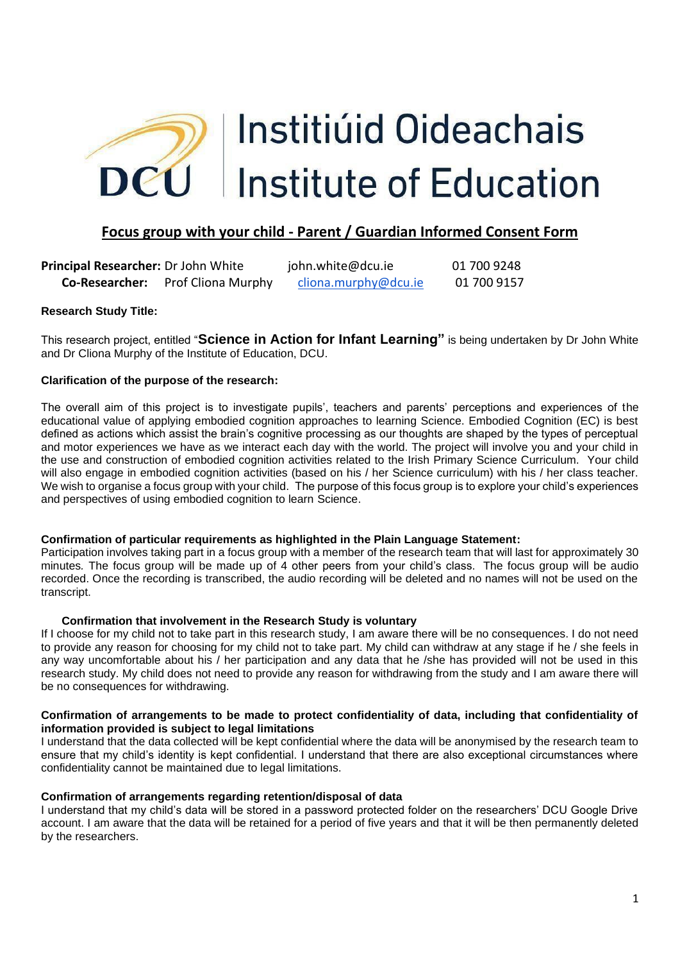

## **Focus group with your child - Parent / Guardian Informed Consent Form**

**Principal Researcher:** Dr John White john.white@dcu.ie 01 700 9248 **Co-Researcher:** Prof Cliona Murphy [cliona.murphy@dcu.ie](mailto:cliona.murphy@dcu.ie) 01 700 9157

#### **Research Study Title:**

This research project, entitled "**Science in Action for Infant Learning"** is being undertaken by Dr John White and Dr Cliona Murphy of the Institute of Education, DCU.

#### **Clarification of the purpose of the research:**

The overall aim of this project is to investigate pupils', teachers and parents' perceptions and experiences of the educational value of applying embodied cognition approaches to learning Science. Embodied Cognition (EC) is best defined as actions which assist the brain's cognitive processing as our thoughts are shaped by the types of perceptual and motor experiences we have as we interact each day with the world. The project will involve you and your child in the use and construction of embodied cognition activities related to the Irish Primary Science Curriculum. Your child will also engage in embodied cognition activities (based on his / her Science curriculum) with his / her class teacher. We wish to organise a focus group with your child. The purpose of this focus group is to explore your child's experiences and perspectives of using embodied cognition to learn Science.

#### **Confirmation of particular requirements as highlighted in the Plain Language Statement:**

Participation involves taking part in a focus group with a member of the research team that will last for approximately 30 minutes*.* The focus group will be made up of 4 other peers from your child's class. The focus group will be audio recorded. Once the recording is transcribed, the audio recording will be deleted and no names will not be used on the transcript.

#### **Confirmation that involvement in the Research Study is voluntary**

If I choose for my child not to take part in this research study, I am aware there will be no consequences. I do not need to provide any reason for choosing for my child not to take part. My child can withdraw at any stage if he / she feels in any way uncomfortable about his / her participation and any data that he /she has provided will not be used in this research study. My child does not need to provide any reason for withdrawing from the study and I am aware there will be no consequences for withdrawing.

#### **Confirmation of arrangements to be made to protect confidentiality of data, including that confidentiality of information provided is subject to legal limitations**

I understand that the data collected will be kept confidential where the data will be anonymised by the research team to ensure that my child's identity is kept confidential. I understand that there are also exceptional circumstances where confidentiality cannot be maintained due to legal limitations.

#### **Confirmation of arrangements regarding retention/disposal of data**

I understand that my child's data will be stored in a password protected folder on the researchers' DCU Google Drive account. I am aware that the data will be retained for a period of five years and that it will be then permanently deleted by the researchers.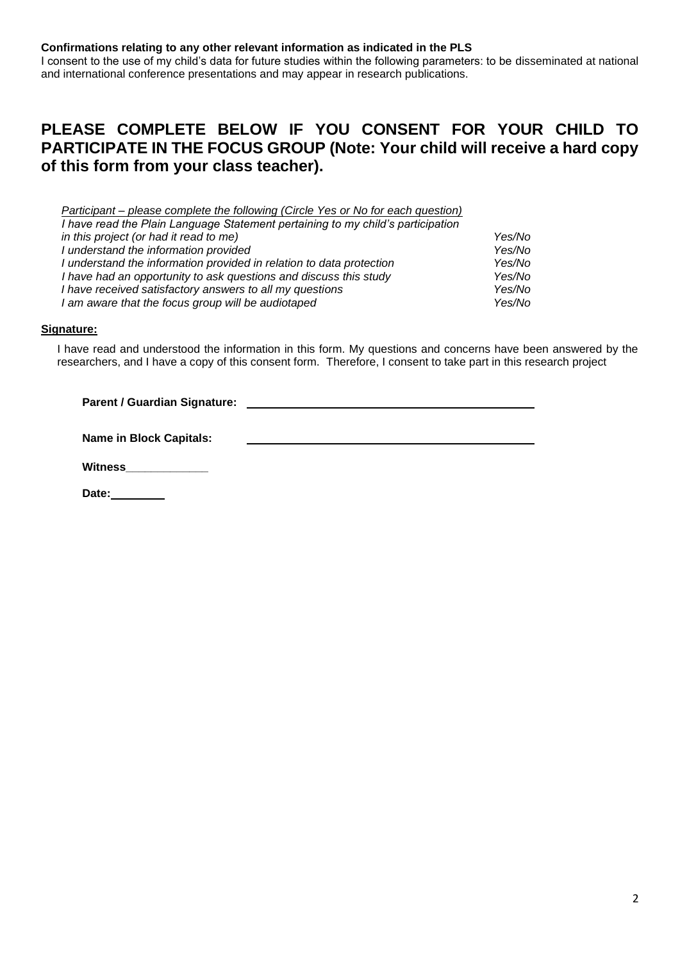**Confirmations relating to any other relevant information as indicated in the PLS**

I consent to the use of my child's data for future studies within the following parameters: to be disseminated at national and international conference presentations and may appear in research publications.

# **PLEASE COMPLETE BELOW IF YOU CONSENT FOR YOUR CHILD TO PARTICIPATE IN THE FOCUS GROUP (Note: Your child will receive a hard copy of this form from your class teacher).**

| Participant – please complete the following (Circle Yes or No for each question) |        |
|----------------------------------------------------------------------------------|--------|
| I have read the Plain Language Statement pertaining to my child's participation  |        |
| in this project (or had it read to me)                                           | Yes/No |
| I understand the information provided                                            | Yes/No |
| I understand the information provided in relation to data protection             | Yes/No |
| I have had an opportunity to ask questions and discuss this study                | Yes/No |
| I have received satisfactory answers to all my questions                         | Yes/No |
| I am aware that the focus group will be audiotaped                               | Yes/No |
|                                                                                  |        |

#### **Signature:**

I have read and understood the information in this form. My questions and concerns have been answered by the researchers, and I have a copy of this consent form. Therefore, I consent to take part in this research project

| <b>Parent / Guardian Signature:</b> |  |
|-------------------------------------|--|
|-------------------------------------|--|

**Name in Block Capitals:**

**Witness\_\_\_\_\_\_\_\_\_\_\_\_\_** 

**Date:**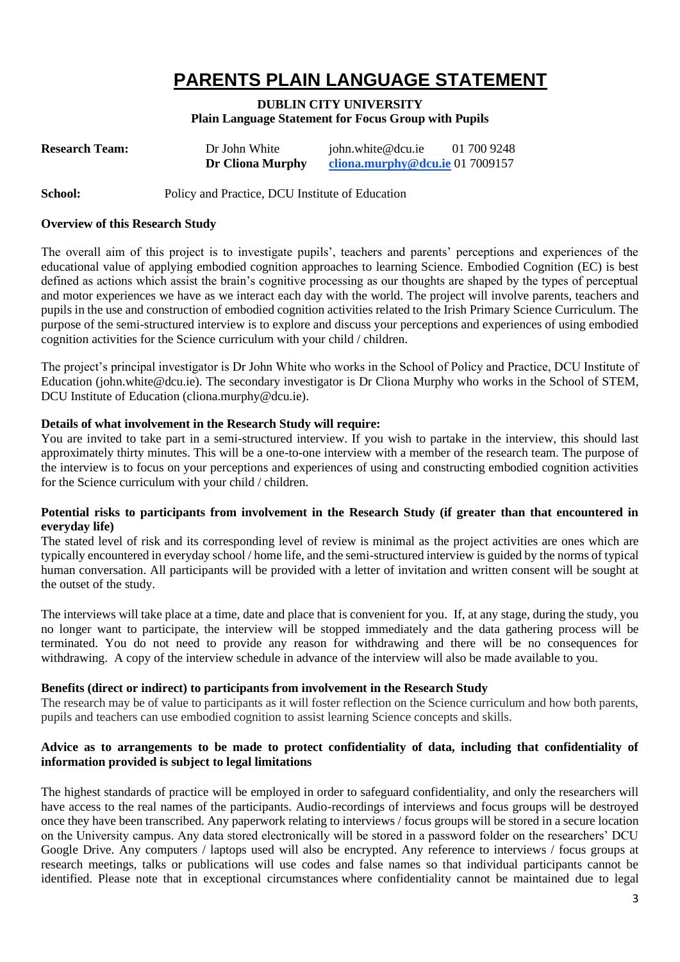# **PARENTS PLAIN LANGUAGE STATEMENT**

### **DUBLIN CITY UNIVERSITY Plain Language Statement for Focus Group with Pupils**

| <b>Research Team:</b> | Dr John White    | john.white@dcu.ie               | 01 700 9248 |
|-----------------------|------------------|---------------------------------|-------------|
|                       | Dr Cliona Murphy | cliona.murphy@dcu.ie 01 7009157 |             |
|                       |                  |                                 |             |

#### **School:** Policy and Practice, DCU Institute of Education

#### **Overview of this Research Study**

The overall aim of this project is to investigate pupils', teachers and parents' perceptions and experiences of the educational value of applying embodied cognition approaches to learning Science. Embodied Cognition (EC) is best defined as actions which assist the brain's cognitive processing as our thoughts are shaped by the types of perceptual and motor experiences we have as we interact each day with the world. The project will involve parents, teachers and pupils in the use and construction of embodied cognition activities related to the Irish Primary Science Curriculum. The purpose of the semi-structured interview is to explore and discuss your perceptions and experiences of using embodied cognition activities for the Science curriculum with your child / children.

The project's principal investigator is Dr John White who works in the School of Policy and Practice, DCU Institute of Education (john.white@dcu.ie). The secondary investigator is Dr Cliona Murphy who works in the School of STEM, DCU Institute of Education (cliona.murphy@dcu.ie).

#### **Details of what involvement in the Research Study will require:**

You are invited to take part in a semi-structured interview. If you wish to partake in the interview, this should last approximately thirty minutes. This will be a one-to-one interview with a member of the research team. The purpose of the interview is to focus on your perceptions and experiences of using and constructing embodied cognition activities for the Science curriculum with your child / children.

#### **Potential risks to participants from involvement in the Research Study (if greater than that encountered in everyday life)**

The stated level of risk and its corresponding level of review is minimal as the project activities are ones which are typically encountered in everyday school / home life, and the semi-structured interview is guided by the norms of typical human conversation. All participants will be provided with a letter of invitation and written consent will be sought at the outset of the study.

The interviews will take place at a time, date and place that is convenient for you. If, at any stage, during the study, you no longer want to participate, the interview will be stopped immediately and the data gathering process will be terminated. You do not need to provide any reason for withdrawing and there will be no consequences for withdrawing. A copy of the interview schedule in advance of the interview will also be made available to you.

#### **Benefits (direct or indirect) to participants from involvement in the Research Study**

The research may be of value to participants as it will foster reflection on the Science curriculum and how both parents, pupils and teachers can use embodied cognition to assist learning Science concepts and skills.

#### **Advice as to arrangements to be made to protect confidentiality of data, including that confidentiality of information provided is subject to legal limitations**

The highest standards of practice will be employed in order to safeguard confidentiality, and only the researchers will have access to the real names of the participants. Audio-recordings of interviews and focus groups will be destroyed once they have been transcribed. Any paperwork relating to interviews / focus groups will be stored in a secure location on the University campus. Any data stored electronically will be stored in a password folder on the researchers' DCU Google Drive. Any computers / laptops used will also be encrypted. Any reference to interviews / focus groups at research meetings, talks or publications will use codes and false names so that individual participants cannot be identified. Please note that in exceptional circumstances where confidentiality cannot be maintained due to legal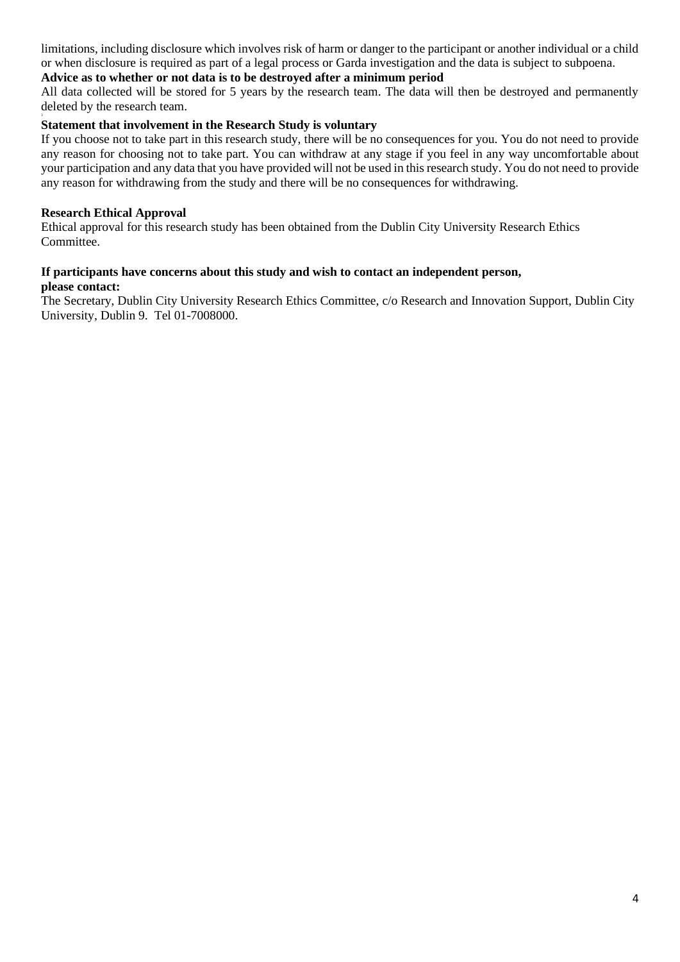limitations, including disclosure which involves risk of harm or danger to the participant or another individual or a child or when disclosure is required as part of a legal process or Garda investigation and the data is subject to subpoena.

#### **Advice as to whether or not data is to be destroyed after a minimum period**

All data collected will be stored for 5 years by the research team. The data will then be destroyed and permanently deleted by the research team.

#### **Statement that involvement in the Research Study is voluntary**

If you choose not to take part in this research study, there will be no consequences for you. You do not need to provide any reason for choosing not to take part. You can withdraw at any stage if you feel in any way uncomfortable about your participation and any data that you have provided will not be used in this research study. You do not need to provide any reason for withdrawing from the study and there will be no consequences for withdrawing.

#### **Research Ethical Approval**

Ethical approval for this research study has been obtained from the Dublin City University Research Ethics Committee.

#### **If participants have concerns about this study and wish to contact an independent person, please contact:**

The Secretary, Dublin City University Research Ethics Committee, c/o Research and Innovation Support, Dublin City University, Dublin 9. Tel 01-7008000.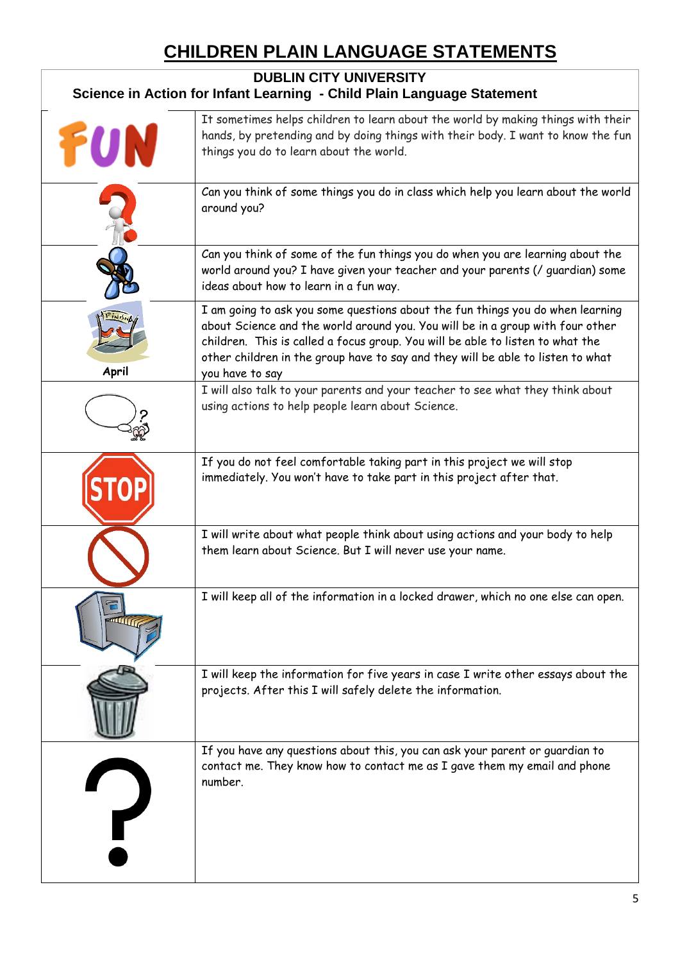# **CHILDREN PLAIN LANGUAGE STATEMENTS**

| <b>DUBLIN CITY UNIVERSITY</b><br>Science in Action for Infant Learning - Child Plain Language Statement |                                                                                                                                                                                                                                                                                                                                                          |  |  |
|---------------------------------------------------------------------------------------------------------|----------------------------------------------------------------------------------------------------------------------------------------------------------------------------------------------------------------------------------------------------------------------------------------------------------------------------------------------------------|--|--|
| FUN                                                                                                     | It sometimes helps children to learn about the world by making things with their<br>hands, by pretending and by doing things with their body. I want to know the fun<br>things you do to learn about the world.                                                                                                                                          |  |  |
|                                                                                                         | Can you think of some things you do in class which help you learn about the world<br>around you?                                                                                                                                                                                                                                                         |  |  |
|                                                                                                         | Can you think of some of the fun things you do when you are learning about the<br>world around you? I have given your teacher and your parents (/ guardian) some<br>ideas about how to learn in a fun way.                                                                                                                                               |  |  |
| April                                                                                                   | I am going to ask you some questions about the fun things you do when learning<br>about Science and the world around you. You will be in a group with four other<br>children. This is called a focus group. You will be able to listen to what the<br>other children in the group have to say and they will be able to listen to what<br>you have to say |  |  |
|                                                                                                         | I will also talk to your parents and your teacher to see what they think about<br>using actions to help people learn about Science.                                                                                                                                                                                                                      |  |  |
|                                                                                                         | If you do not feel comfortable taking part in this project we will stop<br>immediately. You won't have to take part in this project after that.                                                                                                                                                                                                          |  |  |
|                                                                                                         | I will write about what people think about using actions and your body to help<br>them learn about Science. But I will never use your name.                                                                                                                                                                                                              |  |  |
|                                                                                                         | I will keep all of the information in a locked drawer, which no one else can open.                                                                                                                                                                                                                                                                       |  |  |
|                                                                                                         | I will keep the information for five years in case I write other essays about the<br>projects. After this I will safely delete the information.                                                                                                                                                                                                          |  |  |
|                                                                                                         | If you have any questions about this, you can ask your parent or guardian to<br>contact me. They know how to contact me as I gave them my email and phone<br>number.                                                                                                                                                                                     |  |  |

 $\mathbf{l}$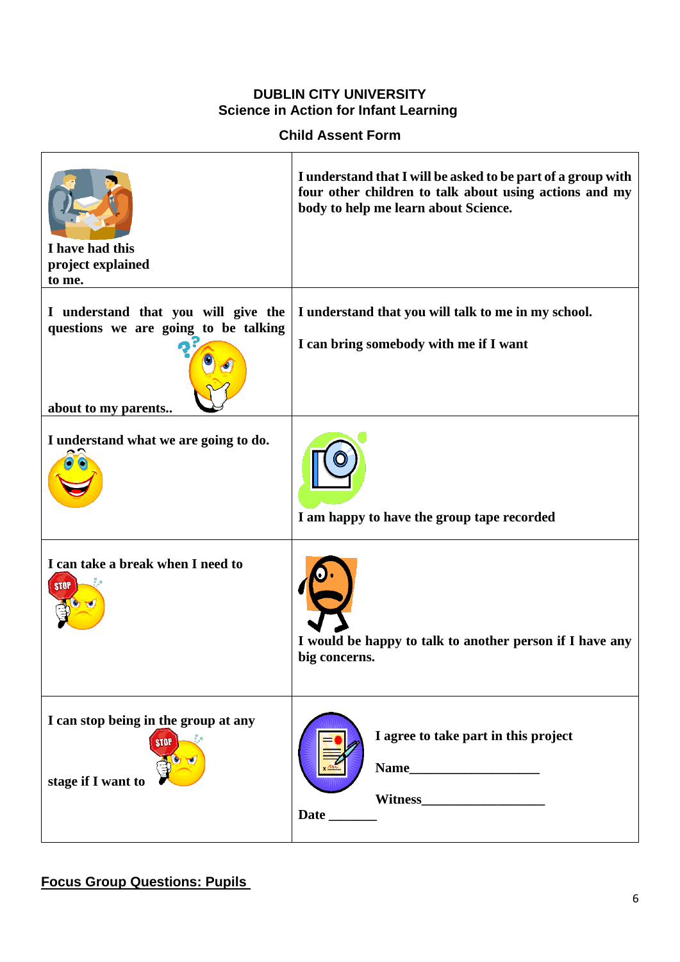## **DUBLIN CITY UNIVERSITY Science in Action for Infant Learning**

**Child Assent Form**

| I have had this<br>project explained<br>to me.                                                     | I understand that I will be asked to be part of a group with<br>four other children to talk about using actions and my<br>body to help me learn about Science. |
|----------------------------------------------------------------------------------------------------|----------------------------------------------------------------------------------------------------------------------------------------------------------------|
| I understand that you will give the<br>questions we are going to be talking<br>about to my parents | I understand that you will talk to me in my school.<br>I can bring somebody with me if I want                                                                  |
| I understand what we are going to do.                                                              | I am happy to have the group tape recorded                                                                                                                     |
| I can take a break when I need to<br><b>STOP</b>                                                   | I would be happy to talk to another person if I have any<br>big concerns.                                                                                      |
| I can stop being in the group at any<br><b>STOP</b><br>stage if I want to                          | I agree to take part in this project                                                                                                                           |

# **Focus Group Questions: Pupils**